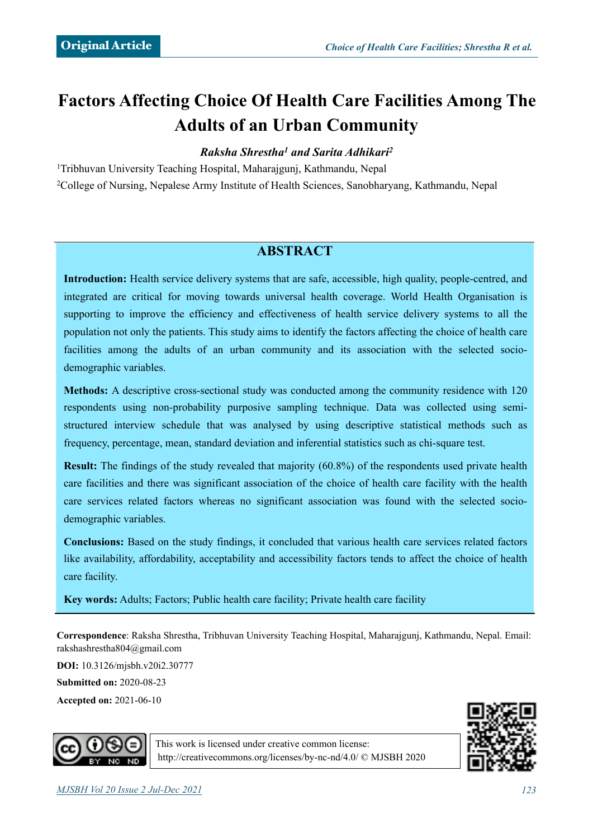# **Factors Affecting Choice Of Health Care Facilities Among The Adults of an Urban Community**

# *Raksha Shrestha1 and Sarita Adhikari2*

1Tribhuvan University Teaching Hospital, Maharajgunj, Kathmandu, Nepal 2College of Nursing, Nepalese Army Institute of Health Sciences, Sanobharyang, Kathmandu, Nepal

# **ABSTRACT**

**Introduction:** Health service delivery systems that are safe, accessible, high quality, people-centred, and integrated are critical for moving towards universal health coverage. World Health Organisation is supporting to improve the efficiency and effectiveness of health service delivery systems to all the population not only the patients. This study aims to identify the factors affecting the choice of health care facilities among the adults of an urban community and its association with the selected sociodemographic variables.

**Methods:** A descriptive cross-sectional study was conducted among the community residence with 120 respondents using non-probability purposive sampling technique. Data was collected using semistructured interview schedule that was analysed by using descriptive statistical methods such as frequency, percentage, mean, standard deviation and inferential statistics such as chi-square test.

**Result:** The findings of the study revealed that majority (60.8%) of the respondents used private health care facilities and there was significant association of the choice of health care facility with the health care services related factors whereas no significant association was found with the selected sociodemographic variables.

**Conclusions:** Based on the study findings, it concluded that various health care services related factors like availability, affordability, acceptability and accessibility factors tends to affect the choice of health care facility.

**Key words:** Adults; Factors; Public health care facility; Private health care facility

**Correspondence**: Raksha Shrestha, Tribhuvan University Teaching Hospital, Maharajgunj, Kathmandu, Nepal. Email: [rakshashrestha804@gmail.com](mailto:rakshashrestha804@gmail.com)

**DOI:** 10.3126/mjsbh.v20i2.30777

**Submitted on:** 2020-08-23

**Accepted on:** 2021-06-10





This work is licensed under creative common license: <http://creativecommons.org/licenses/by-nc-nd/4.0/>© MJSBH 2020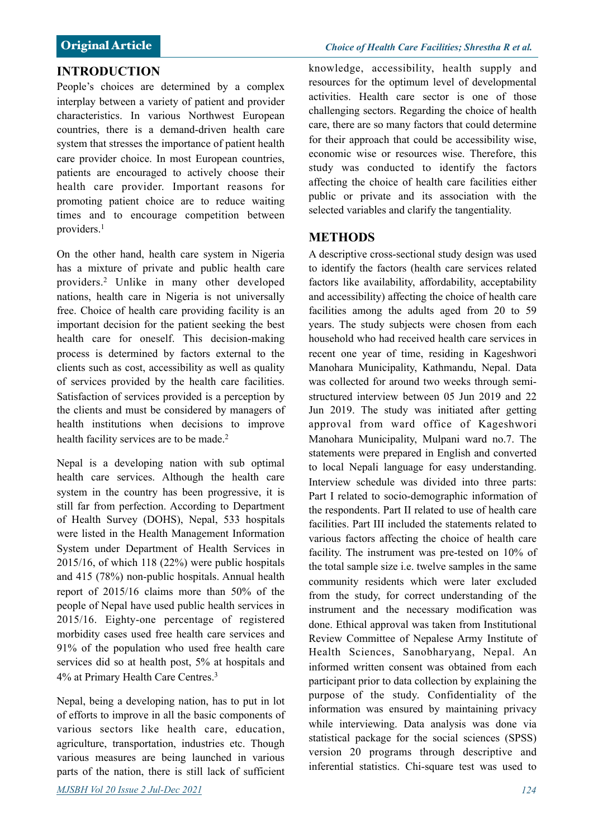### **INTRODUCTION**

People's choices are determined by a complex interplay between a variety of patient and provider characteristics. In various Northwest European countries, there is a demand-driven health care system that stresses the importance of patient health care provider choice. In most European countries, patients are encouraged to actively choose their health care provider. Important reasons for promoting patient choice are to reduce waiting times and to encourage competition between providers.1

On the other hand, health care system in Nigeria has a mixture of private and public health care providers.2 Unlike in many other developed nations, health care in Nigeria is not universally free. Choice of health care providing facility is an important decision for the patient seeking the best health care for oneself. This decision-making process is determined by factors external to the clients such as cost, accessibility as well as quality of services provided by the health care facilities. Satisfaction of services provided is a perception by the clients and must be considered by managers of health institutions when decisions to improve health facility services are to be made.<sup>2</sup>

Nepal is a developing nation with sub optimal health care services. Although the health care system in the country has been progressive, it is still far from perfection. According to Department of Health Survey (DOHS), Nepal, 533 hospitals were listed in the Health Management Information System under Department of Health Services in 2015/16, of which 118 (22%) were public hospitals and 415 (78%) non-public hospitals. Annual health report of 2015/16 claims more than 50% of the people of Nepal have used public health services in 2015/16. Eighty-one percentage of registered morbidity cases used free health care services and 91% of the population who used free health care services did so at health post, 5% at hospitals and 4% at Primary Health Care Centres.3

Nepal, being a developing nation, has to put in lot of efforts to improve in all the basic components of various sectors like health care, education, agriculture, transportation, industries etc. Though various measures are being launched in various parts of the nation, there is still lack of sufficient knowledge, accessibility, health supply and resources for the optimum level of developmental activities. Health care sector is one of those challenging sectors. Regarding the choice of health care, there are so many factors that could determine for their approach that could be accessibility wise, economic wise or resources wise. Therefore, this study was conducted to identify the factors affecting the choice of health care facilities either public or private and its association with the selected variables and clarify the tangentiality.

### **METHODS**

A descriptive cross-sectional study design was used to identify the factors (health care services related factors like availability, affordability, acceptability and accessibility) affecting the choice of health care facilities among the adults aged from 20 to 59 years. The study subjects were chosen from each household who had received health care services in recent one year of time, residing in Kageshwori Manohara Municipality, Kathmandu, Nepal. Data was collected for around two weeks through semistructured interview between 05 Jun 2019 and 22 Jun 2019. The study was initiated after getting approval from ward office of Kageshwori Manohara Municipality, Mulpani ward no.7. The statements were prepared in English and converted to local Nepali language for easy understanding. Interview schedule was divided into three parts: Part I related to socio-demographic information of the respondents. Part II related to use of health care facilities. Part III included the statements related to various factors affecting the choice of health care facility. The instrument was pre-tested on 10% of the total sample size i.e. twelve samples in the same community residents which were later excluded from the study, for correct understanding of the instrument and the necessary modification was done. Ethical approval was taken from Institutional Review Committee of Nepalese Army Institute of Health Sciences, Sanobharyang, Nepal. An informed written consent was obtained from each participant prior to data collection by explaining the purpose of the study. Confidentiality of the information was ensured by maintaining privacy while interviewing. Data analysis was done via statistical package for the social sciences (SPSS) version 20 programs through descriptive and inferential statistics. Chi-square test was used to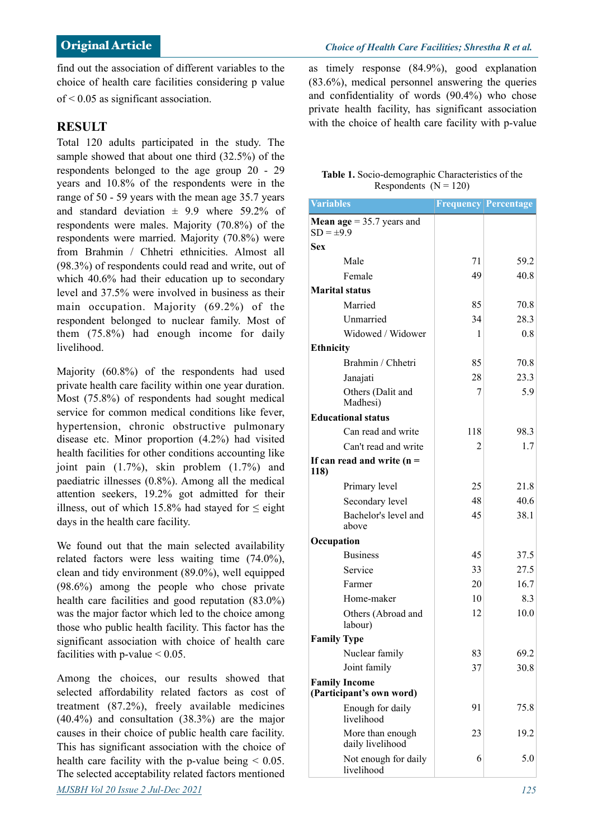find out the association of different variables to the choice of health care facilities considering p value of < 0.05 as significant association.

### **RESULT**

Total 120 adults participated in the study. The sample showed that about one third (32.5%) of the respondents belonged to the age group 20 - 29 years and 10.8% of the respondents were in the range of 50 - 59 years with the mean age 35.7 years and standard deviation  $\pm$  9.9 where 59.2% of respondents were males. Majority (70.8%) of the respondents were married. Majority (70.8%) were from Brahmin / Chhetri ethnicities. Almost all (98.3%) of respondents could read and write, out of which 40.6% had their education up to secondary level and 37.5% were involved in business as their main occupation. Majority (69.2%) of the respondent belonged to nuclear family. Most of them (75.8%) had enough income for daily livelihood.

Majority (60.8%) of the respondents had used private health care facility within one year duration. Most (75.8%) of respondents had sought medical service for common medical conditions like fever, hypertension, chronic obstructive pulmonary disease etc. Minor proportion (4.2%) had visited health facilities for other conditions accounting like joint pain (1.7%), skin problem (1.7%) and paediatric illnesses (0.8%). Among all the medical attention seekers, 19.2% got admitted for their illness, out of which 15.8% had stayed for  $\leq$  eight days in the health care facility.

We found out that the main selected availability related factors were less waiting time (74.0%), clean and tidy environment (89.0%), well equipped (98.6%) among the people who chose private health care facilities and good reputation (83.0%) was the major factor which led to the choice among those who public health facility. This factor has the significant association with choice of health care facilities with p-value  $< 0.05$ .

Among the choices, our results showed that selected affordability related factors as cost of treatment (87.2%), freely available medicines (40.4%) and consultation (38.3%) are the major causes in their choice of public health care facility. This has significant association with the choice of health care facility with the p-value being  $\leq 0.05$ . The selected acceptability related factors mentioned *MJSBH Vol 20 Issue 2 Jul-Dec 2021 125*

as timely response (84.9%), good explanation (83.6%), medical personnel answering the queries and confidentiality of words (90.4%) who chose private health facility, has significant association with the choice of health care facility with p-value

#### **Table 1.** Socio-demographic Characteristics of the Respondents  $(N = 120)$

| <b>Variables</b>                                 |     | <b>Frequency Percentage</b> |
|--------------------------------------------------|-----|-----------------------------|
| <b>Mean age</b> = $35.7$ years and               |     |                             |
| $SD = \pm 9.9$                                   |     |                             |
| <b>Sex</b>                                       |     |                             |
| Male                                             | 71  | 59.2                        |
| Female                                           | 49  | 40.8                        |
| Marital status                                   |     |                             |
| Married                                          | 85  | 70.8                        |
| Unmarried                                        | 34  | 28.3                        |
| Widowed / Widower                                | 1   | 0.8                         |
| <b>Ethnicity</b>                                 |     |                             |
| Brahmin / Chhetri                                | 85  | 70.8                        |
| Janajati                                         | 28  | 23.3                        |
| Others (Dalit and<br>Madhesi)                    | 7   | 5.9                         |
| <b>Educational status</b>                        |     |                             |
| Can read and write                               | 118 | 98.3                        |
| Can't read and write                             | 2   | 1.7                         |
| If can read and write $(n =$<br>118)             |     |                             |
| Primary level                                    | 25  | 21.8                        |
| Secondary level                                  | 48  | 40.6                        |
| Bachelor's level and<br>above                    | 45  | 38.1                        |
| Occupation                                       |     |                             |
| <b>Business</b>                                  | 45  | 37.5                        |
| Service                                          | 33  | 27.5                        |
| Farmer                                           | 20  | 16.7                        |
| Home-maker                                       | 10  | 8.3                         |
| Others (Abroad and<br>labour)                    | 12  | 10.0                        |
| <b>Family Type</b>                               |     |                             |
| Nuclear family                                   | 83  | 69.2                        |
| Joint family                                     | 37  | 30.8                        |
| <b>Family Income</b><br>(Participant's own word) |     |                             |
| Enough for daily<br>livelihood                   | 91  | 75.8                        |
| More than enough<br>daily livelihood             | 23  | 19.2                        |
| Not enough for daily<br>livelihood               | 6   | 5.0                         |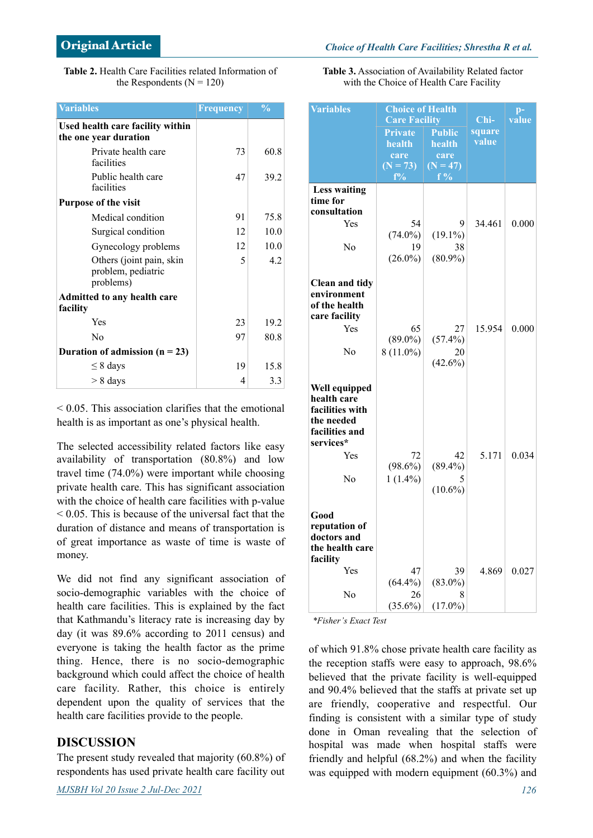| <b>Table 2.</b> Health Care Facilities related Information of |
|---------------------------------------------------------------|
| the Respondents ( $N = 120$ )                                 |

| <b>Variables</b>                                            | Frequency | $\frac{0}{0}$ |
|-------------------------------------------------------------|-----------|---------------|
| Used health care facility within<br>the one year duration   |           |               |
| Private health care<br>facilities                           | 73        | 60.8          |
| Public health care<br>facilities                            | 47        | 39.2          |
| <b>Purpose of the visit</b>                                 |           |               |
| Medical condition                                           | 91        | 75.8          |
| Surgical condition                                          | 12        | 10.0          |
| Gynecology problems                                         | 12        | 10.0          |
| Others (joint pain, skin<br>problem, pediatric<br>problems) | 5         | 42            |
| <b>Admitted to any health care</b>                          |           |               |
| facility                                                    |           |               |
| Yes                                                         | 23        | 19.2          |
| N <sub>0</sub>                                              | 97        | 80.8          |
| Duration of admission $(n = 23)$                            |           |               |
| $\leq$ 8 days                                               | 19        | 15.8          |
| $> 8$ days                                                  | 4         | 3.3           |

 $\leq 0.05$ . This association clarifies that the emotional health is as important as one's physical health.

The selected accessibility related factors like easy availability of transportation (80.8%) and low travel time (74.0%) were important while choosing private health care. This has significant association with the choice of health care facilities with p-value  $\leq 0.05$  This is because of the universal fact that the duration of distance and means of transportation is of great importance as waste of time is waste of money.

We did not find any significant association of socio-demographic variables with the choice of health care facilities. This is explained by the fact that Kathmandu's literacy rate is increasing day by day (it was 89.6% according to 2011 census) and everyone is taking the health factor as the prime thing. Hence, there is no socio-demographic background which could affect the choice of health care facility. Rather, this choice is entirely dependent upon the quality of services that the health care facilities provide to the people.

### **DISCUSSION**

The present study revealed that majority (60.8%) of respondents has used private health care facility out **Table 3.** Association of Availability Related factor with the Choice of Health Care Facility

| <b>Variables</b>                                              | <b>Choice of Health</b><br><b>Care Facility</b> |                  | $Chi-$          | $p-$<br>value |
|---------------------------------------------------------------|-------------------------------------------------|------------------|-----------------|---------------|
|                                                               | Private                                         | Public           | square<br>value |               |
|                                                               | health<br>care                                  | health<br>care   |                 |               |
|                                                               | $(N = 73)$                                      | $(N = 47)$       |                 |               |
|                                                               | $f\%$                                           | $f\%$            |                 |               |
| <b>Less waiting</b><br>time for<br>consultation               |                                                 |                  |                 |               |
| Yes                                                           | 54                                              | 9                | 34.461          | 0.000         |
|                                                               | $(74.0\%)$                                      | $(19.1\%)$       |                 |               |
| No                                                            | 19                                              | 38               |                 |               |
|                                                               | $(26.0\%)$                                      | $(80.9\%)$       |                 |               |
| <b>Clean and tidy</b><br>environment                          |                                                 |                  |                 |               |
| of the health                                                 |                                                 |                  |                 |               |
| care facility<br>Yes                                          | 65                                              | 27               | 15.954          | 0.000         |
|                                                               | $(89.0\%)$                                      | $(57.4\%)$       |                 |               |
| No                                                            | $8(11.0\%)$                                     | 20               |                 |               |
|                                                               |                                                 | $(42.6\%)$       |                 |               |
| Well equipped<br>health care<br>facilities with<br>the needed |                                                 |                  |                 |               |
| facilities and<br>services*                                   |                                                 |                  |                 |               |
| Yes                                                           | 72<br>$(98.6\%)$                                | 42<br>$(89.4\%)$ | 5.171           | 0.034         |
| No                                                            | $1(1.4\%)$                                      |                  |                 |               |
|                                                               |                                                 | $(10.6\%)$       |                 |               |
| Good                                                          |                                                 |                  |                 |               |
| reputation of<br>doctors and<br>the health care<br>facility   |                                                 |                  |                 |               |
| Yes                                                           | 47                                              | 39               | 4.869           | 0.027         |
|                                                               | $(64.4\%)$                                      | $(83.0\%)$       |                 |               |
| N <sub>0</sub>                                                | 26<br>$(35.6\%)$                                | 8<br>$(17.0\%)$  |                 |               |

*\*Fisher's Exact Test* 

of which 91.8% chose private health care facility as the reception staffs were easy to approach, 98.6% believed that the private facility is well-equipped and 90.4% believed that the staffs at private set up are friendly, cooperative and respectful. Our finding is consistent with a similar type of study done in Oman revealing that the selection of hospital was made when hospital staffs were friendly and helpful (68.2%) and when the facility was equipped with modern equipment (60.3%) and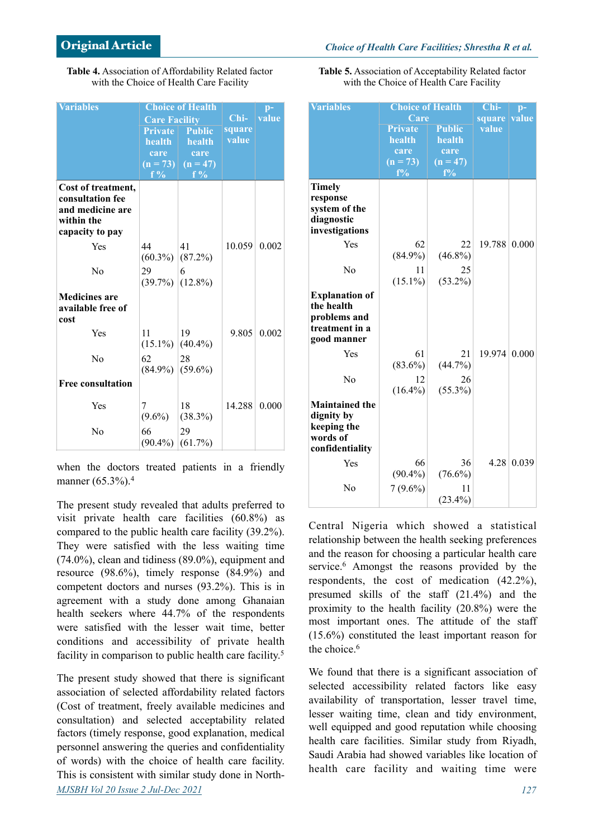| Table 4. Association of Affordability Related factor |  |
|------------------------------------------------------|--|
| with the Choice of Health Care Facility              |  |

| <b>Variables</b>         |                                 | <b>Choice of Health</b>        |        | $p-$  |
|--------------------------|---------------------------------|--------------------------------|--------|-------|
|                          | <b>Care Facility</b>            |                                | $Chi-$ | value |
|                          | <b>Private</b><br><b>Public</b> |                                | square |       |
|                          | <b>health</b>                   | health                         | value  |       |
|                          | care                            | care                           |        |       |
|                          |                                 | $(n = 73)$ $(n = 47)$<br>$f\%$ |        |       |
| Cost of treatment,       | f %                             |                                |        |       |
| consultation fee         |                                 |                                |        |       |
| and medicine are         |                                 |                                |        |       |
| within the               |                                 |                                |        |       |
| capacity to pay          |                                 |                                |        |       |
| Yes                      | 44                              | 41                             | 10.059 | 0.002 |
|                          | $(60.3\%) (87.2\%)$             |                                |        |       |
| No                       | 29                              | 6                              |        |       |
|                          | $(39.7\%) (12.8\%)$             |                                |        |       |
| <b>Medicines are</b>     |                                 |                                |        |       |
| available free of        |                                 |                                |        |       |
| cost                     |                                 |                                |        |       |
| Yes                      | 11                              | 19                             | 9.805  | 0.002 |
|                          | $(15.1\%) (40.4\%)$             |                                |        |       |
| No                       | 62                              | 28                             |        |       |
|                          | $(84.9\%)$ (59.6%)              |                                |        |       |
| <b>Free consultation</b> |                                 |                                |        |       |
| Yes                      | 7                               | 18                             | 14.288 | 0.000 |
|                          | $(9.6\%)$                       | (38.3%)                        |        |       |
| No                       | 66                              | 29                             |        |       |
|                          | $(90.4\%) (61.7\%)$             |                                |        |       |

when the doctors treated patients in a friendly manner (65.3%).<sup>4</sup>

The present study revealed that adults preferred to visit private health care facilities (60.8%) as compared to the public health care facility (39.2%). They were satisfied with the less waiting time (74.0%), clean and tidiness (89.0%), equipment and resource (98.6%), timely response (84.9%) and competent doctors and nurses (93.2%). This is in agreement with a study done among Ghanaian health seekers where 44.7% of the respondents were satisfied with the lesser wait time, better conditions and accessibility of private health facility in comparison to public health care facility.<sup>5</sup>

The present study showed that there is significant association of selected affordability related factors (Cost of treatment, freely available medicines and consultation) and selected acceptability related factors (timely response, good explanation, medical personnel answering the queries and confidentiality of words) with the choice of health care facility. This is consistent with similar study done in North-*MJSBH Vol 20 Issue 2 Jul-Dec 2021 127*

**Table 5.** Association of Acceptability Related factor with the Choice of Health Care Facility

| <b>Variables</b>          | <b>Choice of Health</b> | $Chi-$              | $\mathbf{p}$ - |       |
|---------------------------|-------------------------|---------------------|----------------|-------|
|                           | Care                    |                     | square         | value |
|                           | <b>Private</b>          | <b>Public</b>       | value          |       |
|                           | health                  | health              |                |       |
|                           | care                    | care                |                |       |
|                           | $(n = 73)$<br>$f\%$     | $(n = 47)$<br>$f\%$ |                |       |
|                           |                         |                     |                |       |
| <b>Timely</b><br>response |                         |                     |                |       |
| system of the             |                         |                     |                |       |
| diagnostic                |                         |                     |                |       |
| investigations            |                         |                     |                |       |
| Yes                       | 62                      | 22                  | 19.788         | 0.000 |
|                           | $(84.9\%)$              | $(46.8\%)$          |                |       |
|                           |                         |                     |                |       |
| No                        | 11                      | 25                  |                |       |
|                           | $(15.1\%)$              | $(53.2\%)$          |                |       |
| <b>Explanation of</b>     |                         |                     |                |       |
| the health                |                         |                     |                |       |
| problems and              |                         |                     |                |       |
| treatment in a            |                         |                     |                |       |
| good manner               |                         |                     |                |       |
| Yes                       | 61                      | 21                  | 19.974         | 0.000 |
|                           | $(83.6\%)$              | (44.7%)             |                |       |
| No                        | 12                      | 26                  |                |       |
|                           | $(16.4\%)$              | $(55.3\%)$          |                |       |
| <b>Maintained the</b>     |                         |                     |                |       |
| dignity by                |                         |                     |                |       |
| keeping the               |                         |                     |                |       |
| words of                  |                         |                     |                |       |
| confidentiality           |                         |                     |                |       |
| Yes                       | 66                      | 36                  | 4.28           | 0.039 |
|                           | $(90.4\%)$              | $(76.6\%)$          |                |       |
| No                        | $7(9.6\%)$              | 11                  |                |       |
|                           |                         | $(23.4\%)$          |                |       |
|                           |                         |                     |                |       |

Central Nigeria which showed a statistical relationship between the health seeking preferences and the reason for choosing a particular health care service.6 Amongst the reasons provided by the respondents, the cost of medication (42.2%), presumed skills of the staff (21.4%) and the proximity to the health facility (20.8%) were the most important ones. The attitude of the staff (15.6%) constituted the least important reason for the choice.<sup>6</sup>

We found that there is a significant association of selected accessibility related factors like easy availability of transportation, lesser travel time, lesser waiting time, clean and tidy environment, well equipped and good reputation while choosing health care facilities. Similar study from Riyadh, Saudi Arabia had showed variables like location of health care facility and waiting time were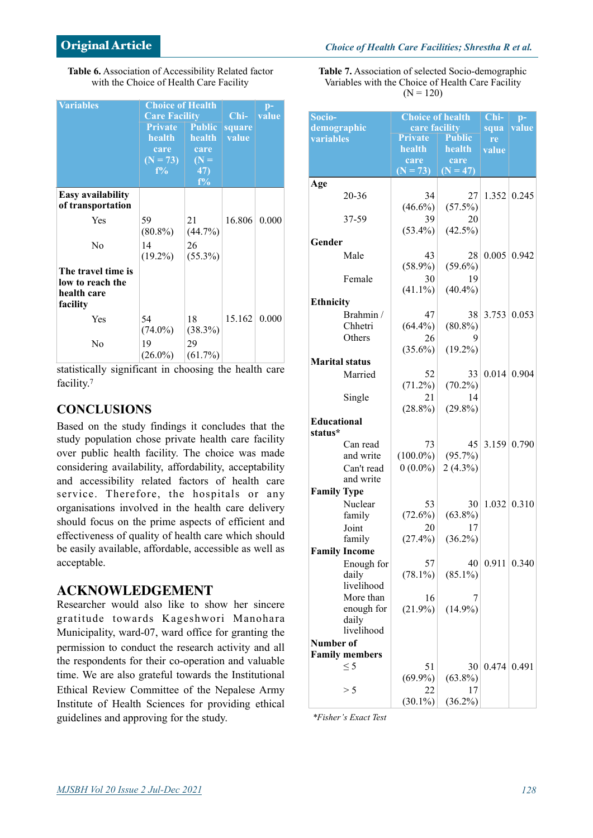| Table 6. Association of Accessibility Related factor |  |
|------------------------------------------------------|--|
| with the Choice of Health Care Facility              |  |

| <b>Variables</b>                                                  | <b>Choice of Health</b><br><b>Care Facility</b> |                                | Chi-            | $\mathbf{p}$ -<br>value |
|-------------------------------------------------------------------|-------------------------------------------------|--------------------------------|-----------------|-------------------------|
|                                                                   | <b>Private</b><br>health                        | <b>Public</b><br>health        | square<br>value |                         |
|                                                                   | care<br>$(N = 73)$<br>$f\%$                     | care<br>$(N =$<br>47)<br>$f\%$ |                 |                         |
| <b>Easy availability</b><br>of transportation                     |                                                 |                                |                 |                         |
| Yes                                                               | 59<br>$(80.8\%)$                                | 21<br>(44.7%)                  | 16.806          | 0.000                   |
| N <sub>0</sub>                                                    | 14<br>$(19.2\%)$                                | 26<br>$(55.3\%)$               |                 |                         |
| The travel time is<br>low to reach the<br>health care<br>facility |                                                 |                                |                 |                         |
| Yes                                                               | 54<br>$(74.0\%)$                                | 18<br>(38.3%)                  | 15.162          | 0.000                   |
| N <sub>0</sub>                                                    | 19<br>$(26.0\%)$                                | 29<br>$(61.7\%)$               |                 |                         |

statistically significant in choosing the health care facility.7

# **CONCLUSIONS**

Based on the study findings it concludes that the study population chose private health care facility over public health facility. The choice was made considering availability, affordability, acceptability and accessibility related factors of health care service. Therefore, the hospitals or any organisations involved in the health care delivery should focus on the prime aspects of efficient and effectiveness of quality of health care which should be easily available, affordable, accessible as well as acceptable.

# **ACKNOWLEDGEMENT**

Researcher would also like to show her sincere gratitude towards Kageshwori Manohara Municipality, ward-07, ward office for granting the permission to conduct the research activity and all the respondents for their co-operation and valuable time. We are also grateful towards the Institutional Ethical Review Committee of the Nepalese Army Institute of Health Sciences for providing ethical guidelines and approving for the study.

**Table 7.** Association of selected Socio-demographic Variables with the Choice of Health Care Facility  $(N = 120)$ 

| Socio-<br>demographic   | <b>Choice of health</b><br>care facility | Chi-<br>squa     | $p-$<br>value |       |
|-------------------------|------------------------------------------|------------------|---------------|-------|
| variables               | <b>Private</b>                           | <b>Public</b>    | re            |       |
|                         | health                                   | health           | value         |       |
|                         | care                                     | care             |               |       |
| Age                     | $(N = 73)$                               | $(N = 47)$       |               |       |
| 20-36                   | 34                                       | 27               | 1.352         | 0.245 |
|                         | $(46.6\%)$                               | (57.5%)          |               |       |
| 37-59                   | 39                                       | 20               |               |       |
|                         | $(53.4\%)$                               | $(42.5\%)$       |               |       |
| Gender                  |                                          |                  |               |       |
| Male                    | 43                                       | 28               | 0.005         | 0.942 |
|                         | $(58.9\%)$                               | $(59.6\%)$       |               |       |
| Female                  | 30                                       | 19               |               |       |
|                         | $(41.1\%)$                               | $(40.4\%)$       |               |       |
| <b>Ethnicity</b>        |                                          |                  |               |       |
| Brahmin /<br>Chhetri    | 47<br>$(64.4\%)$                         | 38<br>$(80.8\%)$ | 3.753         | 0.053 |
| Others                  | 26                                       |                  |               |       |
|                         | $(35.6\%)$                               | $(19.2\%)$       |               |       |
| <b>Marital</b> status   |                                          |                  |               |       |
| Married                 | 52                                       | 33               | 0.014         | 0.904 |
|                         | $(71.2\%)$                               | $(70.2\%)$       |               |       |
| Single                  | 21                                       | 14               |               |       |
|                         | $(28.8\%)$                               | $(29.8\%)$       |               |       |
| <b>Educational</b>      |                                          |                  |               |       |
| status*                 |                                          |                  |               |       |
| Can read<br>and write   | 73<br>$(100.0\%)$                        | 45<br>$(95.7\%)$ | 3.159         | 0.790 |
| Can't read              | $0(0.0\%)$                               | $2(4.3\%)$       |               |       |
| and write               |                                          |                  |               |       |
| <b>Family Type</b>      |                                          |                  |               |       |
| Nuclear                 | 53                                       | 30               | 1.032         | 0.310 |
| family                  | $(72.6\%)$                               | $(63.8\%)$       |               |       |
| Joint                   | 20                                       | 17               |               |       |
| family                  | $(27.4\%)$                               | $(36.2\%)$       |               |       |
| <b>Family Income</b>    |                                          |                  |               |       |
| Enough for              | 57                                       | 40               | 0.911         | 0.340 |
| daily                   | $(78.1\%)$                               | $(85.1\%)$       |               |       |
| livelihood              |                                          |                  |               |       |
| More than<br>enough for | 16<br>$(21.9\%)$                         | $(14.9\%)$       |               |       |
| daily                   |                                          |                  |               |       |
| livelihood              |                                          |                  |               |       |
| Number of               |                                          |                  |               |       |
| <b>Family members</b>   |                                          |                  |               |       |
| $\leq$ 5                | 51                                       | 30               | 0.474         | 0.491 |
|                         | $(69.9\%)$                               | $(63.8\%)$       |               |       |
| > 5                     | 22<br>$(30.1\%)$                         | 17<br>$(36.2\%)$ |               |       |
|                         |                                          |                  |               |       |

*\*Fisher's Exact Test*